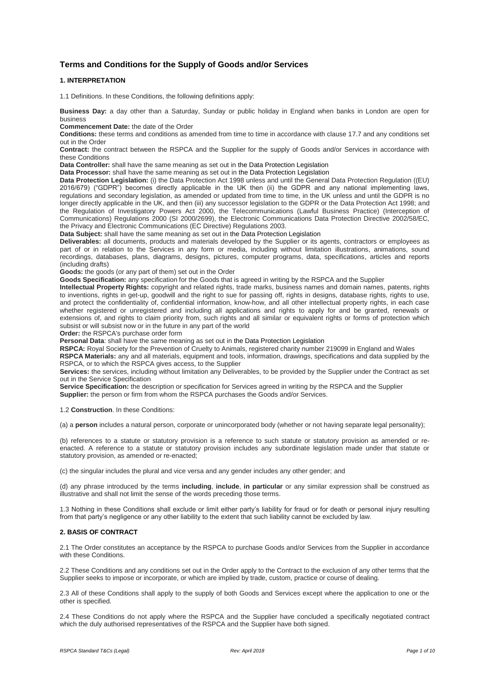# **Terms and Conditions for the Supply of Goods and/or Services**

# **1. INTERPRETATION**

1.1 Definitions. In these Conditions, the following definitions apply:

**Business Day:** a day other than a Saturday, Sunday or public holiday in England when banks in London are open for business

**Commencement Date:** the date of the Order

**Conditions:** these terms and conditions as amended from time to time in accordance with clause 17.7 and any conditions set out in the Order

**Contract:** the contract between the RSPCA and the Supplier for the supply of Goods and/or Services in accordance with these Conditions

**Data Controller:** shall have the same meaning as set out in the Data Protection Legislation

**Data Processor:** shall have the same meaning as set out in the Data Protection Legislation

**Data Protection Legislation:** (i) the Data Protection Act 1998 unless and until the General Data Protection Regulation ((EU) 2016/679) ("GDPR") becomes directly applicable in the UK then (ii) the GDPR and any national implementing laws, regulations and secondary legislation, as amended or updated from time to time, in the UK unless and until the GDPR is no longer directly applicable in the UK, and then (iii) any successor legislation to the GDPR or the Data Protection Act 1998; and the Regulation of Investigatory Powers Act 2000, the Telecommunications (Lawful Business Practice) (Interception of Communications) Regulations 2000 (SI 2000/2699), the Electronic Communications Data Protection Directive 2002/58/EC, the Privacy and Electronic Communications (EC Directive) Regulations 2003.

**Data Subject:** shall have the same meaning as set out in the Data Protection Legislation

**Deliverables:** all documents, products and materials developed by the Supplier or its agents, contractors or employees as part of or in relation to the Services in any form or media, including without limitation illustrations, animations, sound recordings, databases, plans, diagrams, designs, pictures, computer programs, data, specifications, articles and reports (including drafts)

**Goods:** the goods (or any part of them) set out in the Order

**Goods Specification:** any specification for the Goods that is agreed in writing by the RSPCA and the Supplier

**Intellectual Property Rights:** copyright and related rights, trade marks, business names and domain names, patents, rights to inventions, rights in get-up, goodwill and the right to sue for passing off, rights in designs, database rights, rights to use, and protect the confidentiality of, confidential information, know-how, and all other intellectual property rights, in each case whether registered or unregistered and including all applications and rights to apply for and be granted, renewals or extensions of, and rights to claim priority from, such rights and all similar or equivalent rights or forms of protection which subsist or will subsist now or in the future in any part of the world

**Order:** the RSPCA's purchase order form

**Personal Data**: shall have the same meaning as set out in the Data Protection Legislation

**RSPCA:** Royal Society for the Prevention of Cruelty to Animals, registered charity number 219099 in England and Wales **RSPCA Materials:** any and all materials, equipment and tools, information, drawings, specifications and data supplied by the RSPCA, or to which the RSPCA gives access, to the Supplier

**Services:** the services, including without limitation any Deliverables, to be provided by the Supplier under the Contract as set out in the Service Specification

**Service Specification:** the description or specification for Services agreed in writing by the RSPCA and the Supplier **Supplier:** the person or firm from whom the RSPCA purchases the Goods and/or Services.

1.2 **Construction**. In these Conditions:

(a) a **person** includes a natural person, corporate or unincorporated body (whether or not having separate legal personality);

(b) references to a statute or statutory provision is a reference to such statute or statutory provision as amended or reenacted. A reference to a statute or statutory provision includes any subordinate legislation made under that statute or statutory provision, as amended or re-enacted;

(c) the singular includes the plural and vice versa and any gender includes any other gender; and

(d) any phrase introduced by the terms **including**, **include**, **in particular** or any similar expression shall be construed as illustrative and shall not limit the sense of the words preceding those terms.

1.3 Nothing in these Conditions shall exclude or limit either party's liability for fraud or for death or personal injury resulting from that party's negligence or any other liability to the extent that such liability cannot be excluded by law.

## **2. BASIS OF CONTRACT**

2.1 The Order constitutes an acceptance by the RSPCA to purchase Goods and/or Services from the Supplier in accordance with these Conditions.

2.2 These Conditions and any conditions set out in the Order apply to the Contract to the exclusion of any other terms that the Supplier seeks to impose or incorporate, or which are implied by trade, custom, practice or course of dealing.

2.3 All of these Conditions shall apply to the supply of both Goods and Services except where the application to one or the other is specified.

2.4 These Conditions do not apply where the RSPCA and the Supplier have concluded a specifically negotiated contract which the duly authorised representatives of the RSPCA and the Supplier have both signed.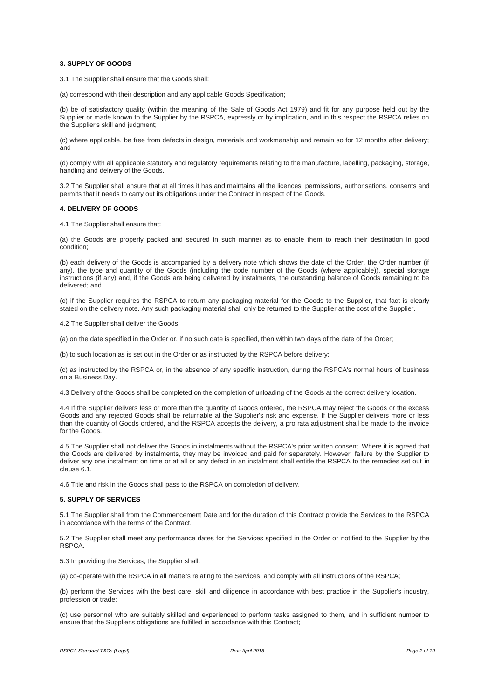### **3. SUPPLY OF GOODS**

3.1 The Supplier shall ensure that the Goods shall:

(a) correspond with their description and any applicable Goods Specification;

(b) be of satisfactory quality (within the meaning of the Sale of Goods Act 1979) and fit for any purpose held out by the Supplier or made known to the Supplier by the RSPCA, expressly or by implication, and in this respect the RSPCA relies on the Supplier's skill and judgment;

(c) where applicable, be free from defects in design, materials and workmanship and remain so for 12 months after delivery; and

(d) comply with all applicable statutory and regulatory requirements relating to the manufacture, labelling, packaging, storage, handling and delivery of the Goods.

3.2 The Supplier shall ensure that at all times it has and maintains all the licences, permissions, authorisations, consents and permits that it needs to carry out its obligations under the Contract in respect of the Goods.

#### **4. DELIVERY OF GOODS**

4.1 The Supplier shall ensure that:

(a) the Goods are properly packed and secured in such manner as to enable them to reach their destination in good condition;

(b) each delivery of the Goods is accompanied by a delivery note which shows the date of the Order, the Order number (if any), the type and quantity of the Goods (including the code number of the Goods (where applicable)), special storage instructions (if any) and, if the Goods are being delivered by instalments, the outstanding balance of Goods remaining to be delivered; and

(c) if the Supplier requires the RSPCA to return any packaging material for the Goods to the Supplier, that fact is clearly stated on the delivery note. Any such packaging material shall only be returned to the Supplier at the cost of the Supplier.

4.2 The Supplier shall deliver the Goods:

(a) on the date specified in the Order or, if no such date is specified, then within two days of the date of the Order;

(b) to such location as is set out in the Order or as instructed by the RSPCA before delivery;

(c) as instructed by the RSPCA or, in the absence of any specific instruction, during the RSPCA's normal hours of business on a Business Day.

4.3 Delivery of the Goods shall be completed on the completion of unloading of the Goods at the correct delivery location.

4.4 If the Supplier delivers less or more than the quantity of Goods ordered, the RSPCA may reject the Goods or the excess Goods and any rejected Goods shall be returnable at the Supplier's risk and expense. If the Supplier delivers more or less than the quantity of Goods ordered, and the RSPCA accepts the delivery, a pro rata adjustment shall be made to the invoice for the Goods.

4.5 The Supplier shall not deliver the Goods in instalments without the RSPCA's prior written consent. Where it is agreed that the Goods are delivered by instalments, they may be invoiced and paid for separately. However, failure by the Supplier to deliver any one instalment on time or at all or any defect in an instalment shall entitle the RSPCA to the remedies set out in clause 6.1.

4.6 Title and risk in the Goods shall pass to the RSPCA on completion of delivery.

### **5. SUPPLY OF SERVICES**

5.1 The Supplier shall from the Commencement Date and for the duration of this Contract provide the Services to the RSPCA in accordance with the terms of the Contract.

5.2 The Supplier shall meet any performance dates for the Services specified in the Order or notified to the Supplier by the RSPCA.

5.3 In providing the Services, the Supplier shall:

(a) co-operate with the RSPCA in all matters relating to the Services, and comply with all instructions of the RSPCA;

(b) perform the Services with the best care, skill and diligence in accordance with best practice in the Supplier's industry, profession or trade;

(c) use personnel who are suitably skilled and experienced to perform tasks assigned to them, and in sufficient number to ensure that the Supplier's obligations are fulfilled in accordance with this Contract;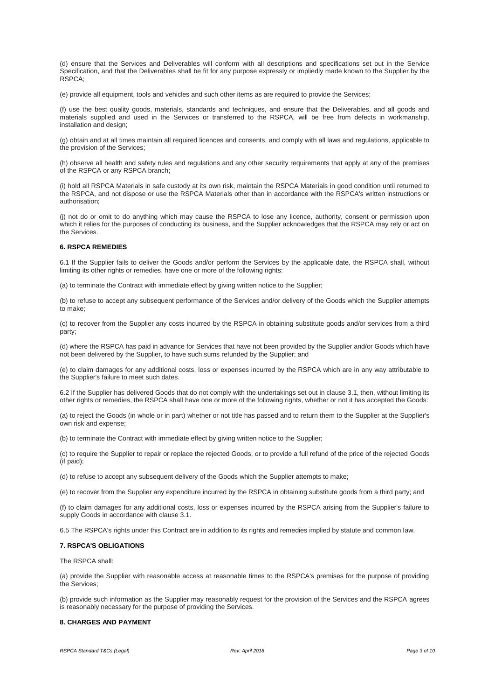(d) ensure that the Services and Deliverables will conform with all descriptions and specifications set out in the Service Specification, and that the Deliverables shall be fit for any purpose expressly or impliedly made known to the Supplier by the RSPCA;

(e) provide all equipment, tools and vehicles and such other items as are required to provide the Services;

(f) use the best quality goods, materials, standards and techniques, and ensure that the Deliverables, and all goods and materials supplied and used in the Services or transferred to the RSPCA, will be free from defects in workmanship, installation and design;

(g) obtain and at all times maintain all required licences and consents, and comply with all laws and regulations, applicable to the provision of the Services;

(h) observe all health and safety rules and regulations and any other security requirements that apply at any of the premises of the RSPCA or any RSPCA branch;

(i) hold all RSPCA Materials in safe custody at its own risk, maintain the RSPCA Materials in good condition until returned to the RSPCA, and not dispose or use the RSPCA Materials other than in accordance with the RSPCA's written instructions or authorisation;

(j) not do or omit to do anything which may cause the RSPCA to lose any licence, authority, consent or permission upon which it relies for the purposes of conducting its business, and the Supplier acknowledges that the RSPCA may rely or act on the Services.

#### **6. RSPCA REMEDIES**

6.1 If the Supplier fails to deliver the Goods and/or perform the Services by the applicable date, the RSPCA shall, without limiting its other rights or remedies, have one or more of the following rights:

(a) to terminate the Contract with immediate effect by giving written notice to the Supplier;

(b) to refuse to accept any subsequent performance of the Services and/or delivery of the Goods which the Supplier attempts to make;

(c) to recover from the Supplier any costs incurred by the RSPCA in obtaining substitute goods and/or services from a third party;

(d) where the RSPCA has paid in advance for Services that have not been provided by the Supplier and/or Goods which have not been delivered by the Supplier, to have such sums refunded by the Supplier; and

(e) to claim damages for any additional costs, loss or expenses incurred by the RSPCA which are in any way attributable to the Supplier's failure to meet such dates.

6.2 If the Supplier has delivered Goods that do not comply with the undertakings set out in clause 3.1, then, without limiting its other rights or remedies, the RSPCA shall have one or more of the following rights, whether or not it has accepted the Goods:

(a) to reject the Goods (in whole or in part) whether or not title has passed and to return them to the Supplier at the Supplier's own risk and expense;

(b) to terminate the Contract with immediate effect by giving written notice to the Supplier;

(c) to require the Supplier to repair or replace the rejected Goods, or to provide a full refund of the price of the rejected Goods (if paid);

(d) to refuse to accept any subsequent delivery of the Goods which the Supplier attempts to make;

(e) to recover from the Supplier any expenditure incurred by the RSPCA in obtaining substitute goods from a third party; and

(f) to claim damages for any additional costs, loss or expenses incurred by the RSPCA arising from the Supplier's failure to supply Goods in accordance with clause 3.1.

6.5 The RSPCA's rights under this Contract are in addition to its rights and remedies implied by statute and common law.

#### **7. RSPCA'S OBLIGATIONS**

The RSPCA shall:

(a) provide the Supplier with reasonable access at reasonable times to the RSPCA's premises for the purpose of providing the Services;

(b) provide such information as the Supplier may reasonably request for the provision of the Services and the RSPCA agrees is reasonably necessary for the purpose of providing the Services.

## **8. CHARGES AND PAYMENT**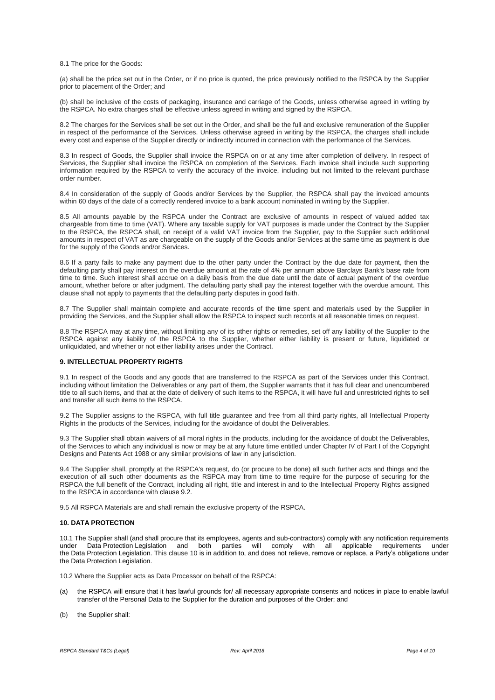#### 8.1 The price for the Goods:

(a) shall be the price set out in the Order, or if no price is quoted, the price previously notified to the RSPCA by the Supplier prior to placement of the Order; and

(b) shall be inclusive of the costs of packaging, insurance and carriage of the Goods, unless otherwise agreed in writing by the RSPCA. No extra charges shall be effective unless agreed in writing and signed by the RSPCA.

8.2 The charges for the Services shall be set out in the Order, and shall be the full and exclusive remuneration of the Supplier in respect of the performance of the Services. Unless otherwise agreed in writing by the RSPCA, the charges shall include every cost and expense of the Supplier directly or indirectly incurred in connection with the performance of the Services.

8.3 In respect of Goods, the Supplier shall invoice the RSPCA on or at any time after completion of delivery. In respect of Services, the Supplier shall invoice the RSPCA on completion of the Services. Each invoice shall include such supporting information required by the RSPCA to verify the accuracy of the invoice, including but not limited to the relevant purchase order number.

8.4 In consideration of the supply of Goods and/or Services by the Supplier, the RSPCA shall pay the invoiced amounts within 60 days of the date of a correctly rendered invoice to a bank account nominated in writing by the Supplier.

8.5 All amounts payable by the RSPCA under the Contract are exclusive of amounts in respect of valued added tax chargeable from time to time (VAT). Where any taxable supply for VAT purposes is made under the Contract by the Supplier to the RSPCA, the RSPCA shall, on receipt of a valid VAT invoice from the Supplier, pay to the Supplier such additional amounts in respect of VAT as are chargeable on the supply of the Goods and/or Services at the same time as payment is due for the supply of the Goods and/or Services.

8.6 If a party fails to make any payment due to the other party under the Contract by the due date for payment, then the defaulting party shall pay interest on the overdue amount at the rate of 4% per annum above Barclays Bank's base rate from time to time. Such interest shall accrue on a daily basis from the due date until the date of actual payment of the overdue amount, whether before or after judgment. The defaulting party shall pay the interest together with the overdue amount. This clause shall not apply to payments that the defaulting party disputes in good faith.

8.7 The Supplier shall maintain complete and accurate records of the time spent and materials used by the Supplier in providing the Services, and the Supplier shall allow the RSPCA to inspect such records at all reasonable times on request.

8.8 The RSPCA may at any time, without limiting any of its other rights or remedies, set off any liability of the Supplier to the RSPCA against any liability of the RSPCA to the Supplier, whether either liability is present or future, liquidated or unliquidated, and whether or not either liability arises under the Contract.

### **9. INTELLECTUAL PROPERTY RIGHTS**

9.1 In respect of the Goods and any goods that are transferred to the RSPCA as part of the Services under this Contract, including without limitation the Deliverables or any part of them, the Supplier warrants that it has full clear and unencumbered title to all such items, and that at the date of delivery of such items to the RSPCA, it will have full and unrestricted rights to sell and transfer all such items to the RSPCA.

9.2 The Supplier assigns to the RSPCA, with full title guarantee and free from all third party rights, all Intellectual Property Rights in the products of the Services, including for the avoidance of doubt the Deliverables.

9.3 The Supplier shall obtain waivers of all moral rights in the products, including for the avoidance of doubt the Deliverables, of the Services to which any individual is now or may be at any future time entitled under Chapter IV of Part I of the Copyright Designs and Patents Act 1988 or any similar provisions of law in any jurisdiction.

9.4 The Supplier shall, promptly at the RSPCA's request, do (or procure to be done) all such further acts and things and the execution of all such other documents as the RSPCA may from time to time require for the purpose of securing for the RSPCA the full benefit of the Contract, including all right, title and interest in and to the Intellectual Property Rights assigned to the RSPCA in accordance with [clause 9.2.](http://uk.practicallaw.com/4-422-3882#a343337)

9.5 All RSPCA Materials are and shall remain the exclusive property of the RSPCA.

#### **10. DATA PROTECTION**

10.1 The Supplier shall (and shall procure that its employees, agents and sub-contractors) comply with any notification requirements<br>under Data Protection Legislation and both parties will comply with all applicable requir under Data Protection Legislation and both parties will comply with all applicable requirements under the Data Protection Legislation. This clause 10 is in addition to, and does not relieve, remove or replace, a Party's obligations under the Data Protection Legislation.

10.2 Where the Supplier acts as Data Processor on behalf of the RSPCA:

- (a) the RSPCA will ensure that it has lawful grounds for/ all necessary appropriate consents and notices in place to enable lawful transfer of the Personal Data to the Supplier for the duration and purposes of the Order; and
- (b) the Supplier shall: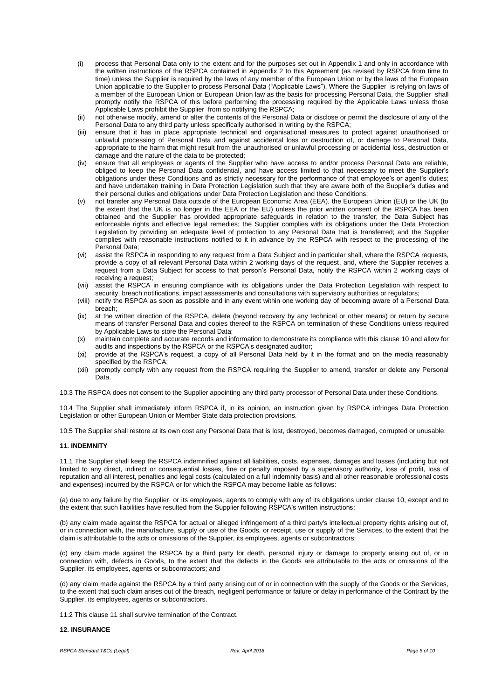- (i) process that Personal Data only to the extent and for the purposes set out in Appendix 1 and only in accordance with the written instructions of the RSPCA contained in Appendix 2 to this Agreement (as revised by RSPCA from time to time) unless the Supplier is required by the laws of any member of the European Union or by the laws of the European Union applicable to the Supplier to process Personal Data ("Applicable Laws"). Where the Supplier is relying on laws of a member of the European Union or European Union law as the basis for processing Personal Data, the Supplier shall promptly notify the RSPCA of this before performing the processing required by the Applicable Laws unless those Applicable Laws prohibit the Supplier from so notifying the RSPCA;
- (ii) not otherwise modify, amend or alter the contents of the Personal Data or disclose or permit the disclosure of any of the Personal Data to any third party unless specifically authorised in writing by the RSPCA;
- (iii) ensure that it has in place appropriate technical and organisational measures to protect against unauthorised or unlawful processing of Personal Data and against accidental loss or destruction of, or damage to Personal Data, appropriate to the harm that might result from the unauthorised or unlawful processing or accidental loss, destruction or damage and the nature of the data to be protected;
- (iv) ensure that all employees or agents of the Supplier who have access to and/or process Personal Data are reliable, obliged to keep the Personal Data confidential, and have access limited to that necessary to meet the Supplier's obligations under these Conditions and as strictly necessary for the performance of that employee's or agent's duties; and have undertaken training in Data Protection Legislation such that they are aware both of the Supplier's duties and their personal duties and obligations under Data Protection Legislation and these Conditions;
- (v) not transfer any Personal Data outside of the European Economic Area (EEA), the European Union (EU) or the UK (to the extent that the UK is no longer in the EEA or the EU) unless the prior written consent of the RSPCA has been obtained and the Supplier has provided appropriate safeguards in relation to the transfer; the Data Subject has enforceable rights and effective legal remedies; the Supplier complies with its obligations under the Data Protection Legislation by providing an adequate level of protection to any Personal Data that is transferred; and the Supplier complies with reasonable instructions notified to it in advance by the RSPCA with respect to the processing of the Personal Data;
- (vi) assist the RSPCA in responding to any request from a Data Subject and in particular shall, where the RSPCA requests, provide a copy of all relevant Personal Data within 2 working days of the request, and, where the Supplier receives a request from a Data Subject for access to that person's Personal Data, notify the RSPCA within 2 working days of receiving a request:
- (vii) assist the RSPCA in ensuring compliance with its obligations under the Data Protection Legislation with respect to security, breach notifications, impact assessments and consultations with supervisory authorities or regulators;
- (viii) notify the RSPCA as soon as possible and in any event within one working day of becoming aware of a Personal Data breach;
- (ix) at the written direction of the RSPCA, delete (beyond recovery by any technical or other means) or return by secure means of transfer Personal Data and copies thereof to the RSPCA on termination of these Conditions unless required by Applicable Laws to store the Personal Data;
- (x) maintain complete and accurate records and information to demonstrate its compliance with this clause 10 and allow for audits and inspections by the RSPCA or the RSPCA's designated auditor;
- (xi) provide at the RSPCA's request, a copy of all Personal Data held by it in the format and on the media reasonably specified by the RSPCA;
- (xii) promptly comply with any request from the RSPCA requiring the Supplier to amend, transfer or delete any Personal Data.

10.3 The RSPCA does not consent to the Supplier appointing any third party processor of Personal Data under these Conditions.

10.4 The Supplier shall immediately inform RSPCA if, in its opinion, an instruction given by RSPCA infringes Data Protection Legislation or other European Union or Member State data protection provisions.

10.5 The Supplier shall restore at its own cost any Personal Data that is lost, destroyed, becomes damaged, corrupted or unusable.

## **11. INDEMNITY**

11.1 The Supplier shall keep the RSPCA indemnified against all liabilities, costs, expenses, damages and losses (including but not limited to any direct, indirect or consequential losses, fine or penalty imposed by a supervisory authority, loss of profit, loss of reputation and all interest, penalties and legal costs (calculated on a full indemnity basis) and all other reasonable professional costs and expenses) incurred by the RSPCA or for which the RSPCA may become liable as follows:

(a) due to any failure by the Supplier or its employees, agents to comply with any of its obligations under clause 10, except and to the extent that such liabilities have resulted from the Supplier following RSPCA's written instructions:

(b) any claim made against the RSPCA for actual or alleged infringement of a third party's intellectual property rights arising out of, or in connection with, the manufacture, supply or use of the Goods, or receipt, use or supply of the Services, to the extent that the claim is attributable to the acts or omissions of the Supplier, its employees, agents or subcontractors;

(c) any claim made against the RSPCA by a third party for death, personal injury or damage to property arising out of, or in connection with, defects in Goods, to the extent that the defects in the Goods are attributable to the acts or omissions of the Supplier, its employees, agents or subcontractors; and

(d) any claim made against the RSPCA by a third party arising out of or in connection with the supply of the Goods or the Services, to the extent that such claim arises out of the breach, negligent performance or failure or delay in performance of the Contract by the Supplier, its employees, agents or subcontractors.

11.2 This [clause 11](http://uk.practicallaw.com/4-422-3882#a546282) shall survive termination of the Contract.

#### **12. INSURANCE**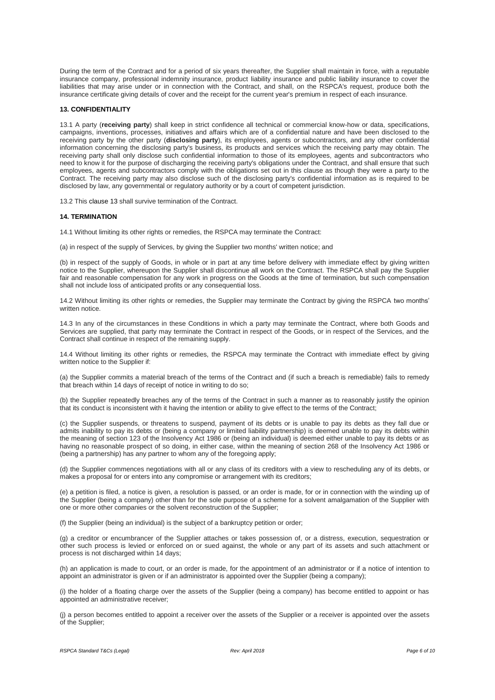During the term of the Contract and for a period of six years thereafter, the Supplier shall maintain in force, with a reputable insurance company, professional indemnity insurance, product liability insurance and public liability insurance to cover the liabilities that may arise under or in connection with the Contract, and shall, on the RSPCA's request, produce both the insurance certificate giving details of cover and the receipt for the current year's premium in respect of each insurance.

### **13. CONFIDENTIALITY**

13.1 A party (**receiving party**) shall keep in strict confidence all technical or commercial know-how or data, specifications, campaigns, inventions, processes, initiatives and affairs which are of a confidential nature and have been disclosed to the receiving party by the other party (**disclosing party**), its employees, agents or subcontractors, and any other confidential information concerning the disclosing party's business, its products and services which the receiving party may obtain. The receiving party shall only disclose such confidential information to those of its employees, agents and subcontractors who need to know it for the purpose of discharging the receiving party's obligations under the Contract, and shall ensure that such employees, agents and subcontractors comply with the obligations set out in this clause as though they were a party to the Contract. The receiving party may also disclose such of the disclosing party's confidential information as is required to be disclosed by law, any governmental or regulatory authority or by a court of competent jurisdiction.

13.2 This [clause 13](http://uk.practicallaw.com/4-422-3882#a104226) shall survive termination of the Contract.

#### **14. TERMINATION**

14.1 Without limiting its other rights or remedies, the RSPCA may terminate the Contract:

(a) in respect of the supply of Services, by giving the Supplier two months' written notice; and

(b) in respect of the supply of Goods, in whole or in part at any time before delivery with immediate effect by giving written notice to the Supplier, whereupon the Supplier shall discontinue all work on the Contract. The RSPCA shall pay the Supplier fair and reasonable compensation for any work in progress on the Goods at the time of termination, but such compensation shall not include loss of anticipated profits or any consequential loss.

14.2 Without limiting its other rights or remedies, the Supplier may terminate the Contract by giving the RSPCA two months' written notice.

14.3 In any of the circumstances in these Conditions in which a party may terminate the Contract, where both Goods and Services are supplied, that party may terminate the Contract in respect of the Goods, or in respect of the Services, and the Contract shall continue in respect of the remaining supply.

14.4 Without limiting its other rights or remedies, the RSPCA may terminate the Contract with immediate effect by giving written notice to the Supplier if:

(a) the Supplier commits a material breach of the terms of the Contract and (if such a breach is remediable) fails to remedy that breach within 14 days of receipt of notice in writing to do so;

(b) the Supplier repeatedly breaches any of the terms of the Contract in such a manner as to reasonably justify the opinion that its conduct is inconsistent with it having the intention or ability to give effect to the terms of the Contract;

(c) the Supplier suspends, or threatens to suspend, payment of its debts or is unable to pay its debts as they fall due or admits inability to pay its debts or (being a company or limited liability partnership) is deemed unable to pay its debts within the meaning of section 123 of the Insolvency Act 1986 or (being an individual) is deemed either unable to pay its debts or as having no reasonable prospect of so doing, in either case, within the meaning of section 268 of the Insolvency Act 1986 or (being a partnership) has any partner to whom any of the foregoing apply;

(d) the Supplier commences negotiations with all or any class of its creditors with a view to rescheduling any of its debts, or makes a proposal for or enters into any compromise or arrangement with its creditors;

(e) a petition is filed, a notice is given, a resolution is passed, or an order is made, for or in connection with the winding up of the Supplier (being a company) other than for the sole purpose of a scheme for a solvent amalgamation of the Supplier with one or more other companies or the solvent reconstruction of the Supplier;

(f) the Supplier (being an individual) is the subject of a bankruptcy petition or order;

(g) a creditor or encumbrancer of the Supplier attaches or takes possession of, or a distress, execution, sequestration or other such process is levied or enforced on or sued against, the whole or any part of its assets and such attachment or process is not discharged within 14 days;

(h) an application is made to court, or an order is made, for the appointment of an administrator or if a notice of intention to appoint an administrator is given or if an administrator is appointed over the Supplier (being a company);

(i) the holder of a floating charge over the assets of the Supplier (being a company) has become entitled to appoint or has appointed an administrative receiver;

(j) a person becomes entitled to appoint a receiver over the assets of the Supplier or a receiver is appointed over the assets of the Supplier;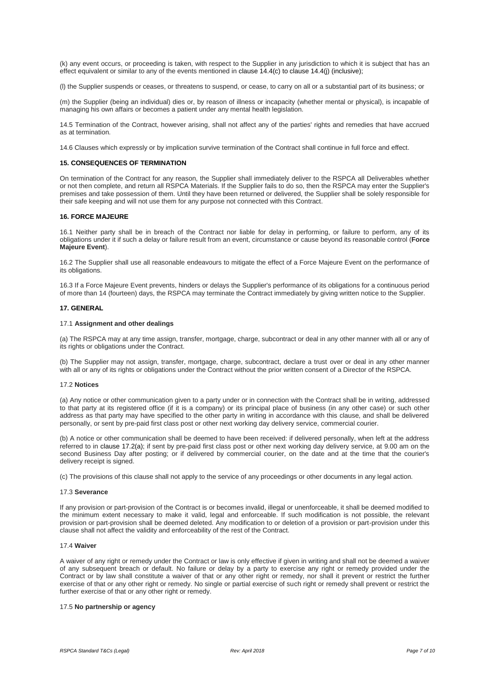(k) any event occurs, or proceeding is taken, with respect to the Supplier in any jurisdiction to which it is subject that has an effect equivalent or similar to any of the events mentioned i[n clause 14.4\(c\)](http://uk.practicallaw.com/4-422-3882#a56592) to [clause 14.4\(j\)](http://uk.practicallaw.com/4-422-3882#a324281) (inclusive);

(l) the Supplier suspends or ceases, or threatens to suspend, or cease, to carry on all or a substantial part of its business; or

(m) the Supplier (being an individual) dies or, by reason of illness or incapacity (whether mental or physical), is incapable of managing his own affairs or becomes a patient under any mental health legislation.

14.5 Termination of the Contract, however arising, shall not affect any of the parties' rights and remedies that have accrued as at termination.

14.6 Clauses which expressly or by implication survive termination of the Contract shall continue in full force and effect.

### **15. CONSEQUENCES OF TERMINATION**

On termination of the Contract for any reason, the Supplier shall immediately deliver to the RSPCA all Deliverables whether or not then complete, and return all RSPCA Materials. If the Supplier fails to do so, then the RSPCA may enter the Supplier's premises and take possession of them. Until they have been returned or delivered, the Supplier shall be solely responsible for their safe keeping and will not use them for any purpose not connected with this Contract.

#### **16. FORCE MAJEURE**

16.1 Neither party shall be in breach of the Contract nor liable for delay in performing, or failure to perform, any of its obligations under it if such a delay or failure result from an event, circumstance or cause beyond its reasonable control (**Force Majeure Event**).

16.2 The Supplier shall use all reasonable endeavours to mitigate the effect of a Force Majeure Event on the performance of its obligations.

16.3 If a Force Majeure Event prevents, hinders or delays the Supplier's performance of its obligations for a continuous period of more than 14 (fourteen) days, the RSPCA may terminate the Contract immediately by giving written notice to the Supplier.

### **17. GENERAL**

## 17.1 **Assignment and other dealings**

(a) The RSPCA may at any time assign, transfer, mortgage, charge, subcontract or deal in any other manner with all or any of its rights or obligations under the Contract.

(b) The Supplier may not assign, transfer, mortgage, charge, subcontract, declare a trust over or deal in any other manner with all or any of its rights or obligations under the Contract without the prior written consent of a Director of the RSPCA.

#### 17.2 **Notices**

(a) Any notice or other communication given to a party under or in connection with the Contract shall be in writing, addressed to that party at its registered office (if it is a company) or its principal place of business (in any other case) or such other address as that party may have specified to the other party in writing in accordance with this clause, and shall be delivered personally, or sent by pre-paid first class post or other next working day delivery service, commercial courier.

(b) A notice or other communication shall be deemed to have been received: if delivered personally, when left at the address referred to in [clause 17.2\(a\);](http://uk.practicallaw.com/4-422-3882#a723112) if sent by pre-paid first class post or other next working day delivery service, at 9.00 am on the second Business Day after posting; or if delivered by commercial courier, on the date and at the time that the courier's delivery receipt is signed.

(c) The provisions of this clause shall not apply to the service of any proceedings or other documents in any legal action.

#### 17.3 **Severance**

If any provision or part-provision of the Contract is or becomes invalid, illegal or unenforceable, it shall be deemed modified to the minimum extent necessary to make it valid, legal and enforceable. If such modification is not possible, the relevant provision or part-provision shall be deemed deleted. Any modification to or deletion of a provision or part-provision under this clause shall not affect the validity and enforceability of the rest of the Contract.

#### 17.4 **Waiver**

A waiver of any right or remedy under the Contract or law is only effective if given in writing and shall not be deemed a waiver of any subsequent breach or default. No failure or delay by a party to exercise any right or remedy provided under the Contract or by law shall constitute a waiver of that or any other right or remedy, nor shall it prevent or restrict the further exercise of that or any other right or remedy. No single or partial exercise of such right or remedy shall prevent or restrict the further exercise of that or any other right or remedy.

#### 17.5 **No partnership or agency**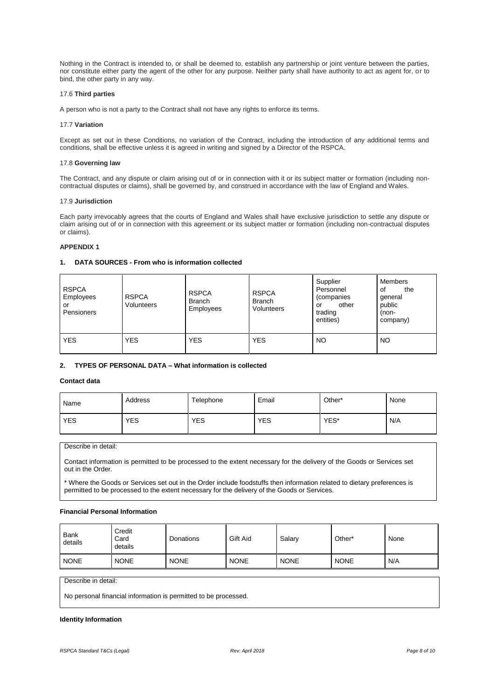Nothing in the Contract is intended to, or shall be deemed to, establish any partnership or joint venture between the parties, nor constitute either party the agent of the other for any purpose. Neither party shall have authority to act as agent for, or to bind, the other party in any way.

#### 17.6 **Third parties**

A person who is not a party to the Contract shall not have any rights to enforce its terms.

#### 17.7 **Variation**

Except as set out in these Conditions, no variation of the Contract, including the introduction of any additional terms and conditions, shall be effective unless it is agreed in writing and signed by a Director of the RSPCA.

#### 17.8 **Governing law**

The Contract, and any dispute or claim arising out of or in connection with it or its subject matter or formation (including noncontractual disputes or claims), shall be governed by, and construed in accordance with the law of England and Wales.

#### 17.9 **Jurisdiction**

Each party irrevocably agrees that the courts of England and Wales shall have exclusive jurisdiction to settle any dispute or claim arising out of or in connection with this agreement or its subject matter or formation (including non-contractual disputes or claims).

### **APPENDIX 1**

# **1. DATA SOURCES - From who is information collected**

| <b>RSPCA</b><br>Employees<br>or<br>Pensioners | <b>RSPCA</b><br>Volunteers | <b>RSPCA</b><br><b>Branch</b><br>Employees | <b>RSPCA</b><br><b>Branch</b><br>Volunteers | Supplier<br>Personnel<br>(companies<br>other<br>or<br>trading<br>entities) | Members<br>οf<br>the<br>general<br>public<br>(non-<br>company) |
|-----------------------------------------------|----------------------------|--------------------------------------------|---------------------------------------------|----------------------------------------------------------------------------|----------------------------------------------------------------|
| <b>YES</b>                                    | <b>YES</b>                 | <b>YES</b>                                 | YES                                         | <b>NO</b>                                                                  | NO                                                             |

## **2. TYPES OF PERSONAL DATA – What information is collected**

# **Contact data**

| Name       | Address    | Telephone  | Email      | Other* | None |
|------------|------------|------------|------------|--------|------|
| <b>YES</b> | <b>YES</b> | <b>YES</b> | <b>YES</b> | YES*   | N/A  |

Describe in detail:

Contact information is permitted to be processed to the extent necessary for the delivery of the Goods or Services set out in the Order.

\* Where the Goods or Services set out in the Order include foodstuffs then information related to dietary preferences is permitted to be processed to the extent necessary for the delivery of the Goods or Services.

### **Financial Personal Information**

| Bank<br>details | Credit<br>Card<br>details | Donations   | Gift Aid    | Salary      | Other*      | None |
|-----------------|---------------------------|-------------|-------------|-------------|-------------|------|
| <b>NONE</b>     | <b>NONE</b>               | <b>NONE</b> | <b>NONE</b> | <b>NONE</b> | <b>NONE</b> | N/A  |

Describe in detail:

No personal financial information is permitted to be processed.

#### **Identity Information**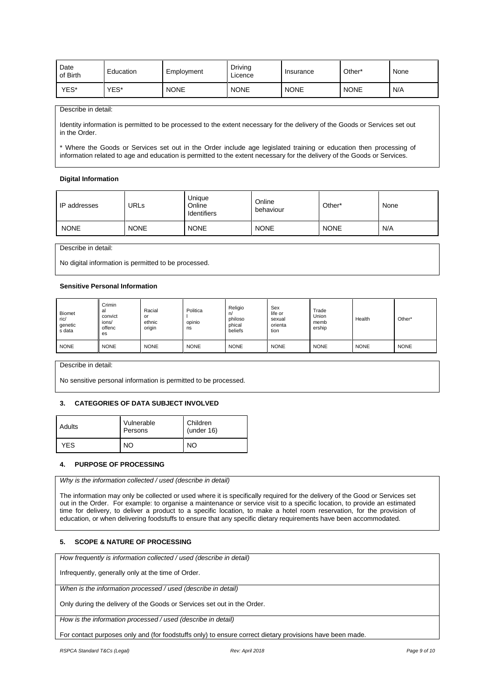| Date<br>of Birth | Education | Employment  | Driving<br>∟icence | Insurance   | Other <sup>*</sup> | None |
|------------------|-----------|-------------|--------------------|-------------|--------------------|------|
| YES*             | YES*      | <b>NONE</b> | <b>NONE</b>        | <b>NONE</b> | <b>NONE</b>        | N/A  |

### Describe in detail:

Identity information is permitted to be processed to the extent necessary for the delivery of the Goods or Services set out in the Order.

\* Where the Goods or Services set out in the Order include age legislated training or education then processing of information related to age and education is permitted to the extent necessary for the delivery of the Goods or Services.

# **Digital Information**

| <b>IP</b> addresses | URLs        | Unique<br>Online<br>Identifiers | Online<br>behaviour | Other*      | None |
|---------------------|-------------|---------------------------------|---------------------|-------------|------|
| <b>NONE</b>         | <b>NONE</b> | <b>NONE</b>                     | <b>NONE</b>         | <b>NONE</b> | N/A  |

Describe in detail:

No digital information is permitted to be processed.

## **Sensitive Personal Information**

| <b>Biomet</b><br>ric/<br>genetic<br>s data | Crimin<br>al<br>convict<br>ions/<br>offenc<br>es | Racial<br>or<br>ethnic<br>origin | Politica<br>opinio<br>ns | Religio<br>n/<br>philoso<br>phical<br>beliefs | Sex<br>life or<br>sexual<br>orienta<br>tion | Trade<br>Union<br>memb<br>ership | Health      | Other*      |
|--------------------------------------------|--------------------------------------------------|----------------------------------|--------------------------|-----------------------------------------------|---------------------------------------------|----------------------------------|-------------|-------------|
| <b>NONE</b>                                | <b>NONE</b>                                      | <b>NONE</b>                      | <b>NONE</b>              | <b>NONE</b>                                   | <b>NONE</b>                                 | <b>NONE</b>                      | <b>NONE</b> | <b>NONE</b> |

Describe in detail:

No sensitive personal information is permitted to be processed.

# **3. CATEGORIES OF DATA SUBJECT INVOLVED**

| Adults     | Vulnerable<br>Persons | Children<br>(under $16$ ) |
|------------|-----------------------|---------------------------|
| <b>YES</b> | NO                    | NO                        |

### **4. PURPOSE OF PROCESSING**

*Why is the information collected / used (describe in detail)*

The information may only be collected or used where it is specifically required for the delivery of the Good or Services set out in the Order. For example: to organise a maintenance or service visit to a specific location, to provide an estimated time for delivery, to deliver a product to a specific location, to make a hotel room reservation, for the provision of education, or when delivering foodstuffs to ensure that any specific dietary requirements have been accommodated.

# **5. SCOPE & NATURE OF PROCESSING**

*How frequently is information collected / used (describe in detail)*

Infrequently, generally only at the time of Order.

*When is the information processed / used (describe in detail)*

Only during the delivery of the Goods or Services set out in the Order.

*How is the information processed / used (describe in detail)*

For contact purposes only and (for foodstuffs only) to ensure correct dietary provisions have been made.